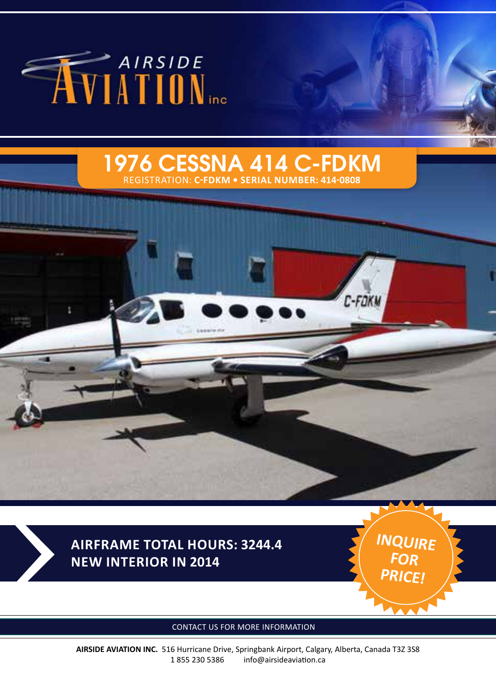

## 1976 CESSNA 414 C-FDKM REGISTRATION: **C-FDKM • SERIAL NUMBER: 414-0808**

**AIRFRAME TOTAL HOURS: 3244.4 NEW INTERIOR IN 2014**

**INQUIRE FOR PRICE!**

C-FOKI

CONTACT US FOR MORE INFORMATION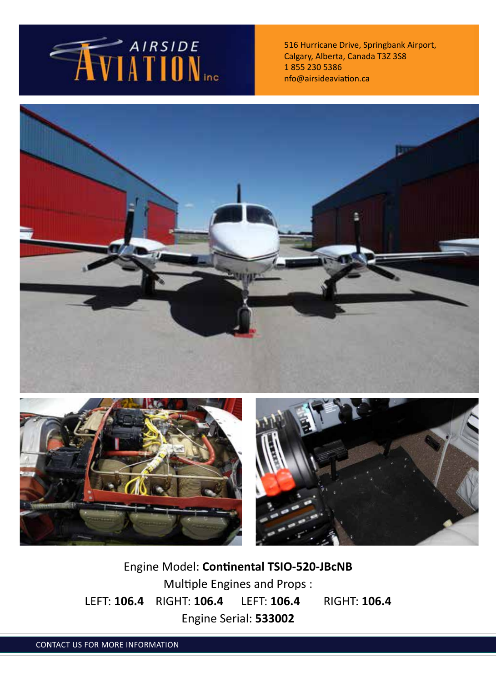

516 Hurricane Drive, Springbank Airport, Calgary, Alberta, Canada T3Z 3S8 1 855 230 5386 nfo@airsideaviation.ca







Engine Model: **Continental TSIO-520-JBcNB** Multiple Engines and Props : LEFT: **106.4** RIGHT: **106.4** LEFT: **106.4** RIGHT: **106.4** Engine Serial: **533002**

CONTACT US FOR MORE INFORMATION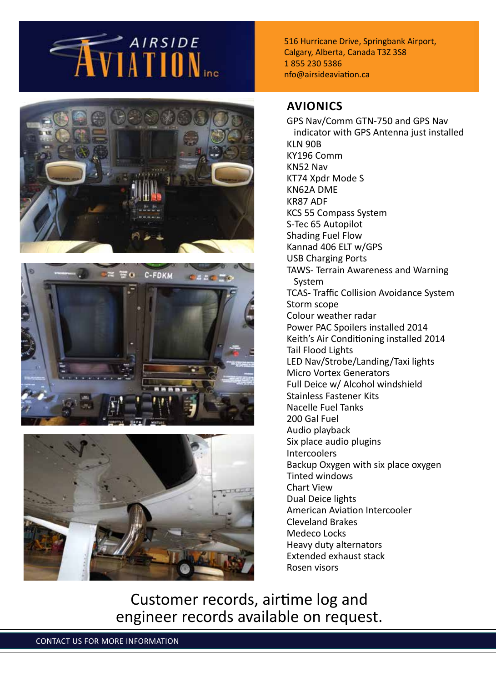







516 Hurricane Drive, Springbank Airport, Calgary, Alberta, Canada T3Z 3S8 1 855 230 5386 nfo@airsideaviation.ca

## **AVIONICS**

GPS Nav/Comm GTN-750 and GPS Nav indicator with GPS Antenna just installed KLN 90B KY196 Comm KN52 Nav KT74 Xpdr Mode S KN62A DME KR87 ADF KCS 55 Compass System S-Tec 65 Autopilot Shading Fuel Flow Kannad 406 ELT w/GPS USB Charging Ports TAWS- Terrain Awareness and Warning System TCAS- Traffic Collision Avoidance System Storm scope Colour weather radar Power PAC Spoilers installed 2014 Keith's Air Conditioning installed 2014 Tail Flood Lights LED Nav/Strobe/Landing/Taxi lights Micro Vortex Generators Full Deice w/ Alcohol windshield Stainless Fastener Kits Nacelle Fuel Tanks 200 Gal Fuel Audio playback Six place audio plugins Intercoolers Backup Oxygen with six place oxygen Tinted windows Chart View Dual Deice lights American Aviation Intercooler Cleveland Brakes Medeco Locks Heavy duty alternators Extended exhaust stack Rosen visors

Customer records, airtime log and engineer records available on request.